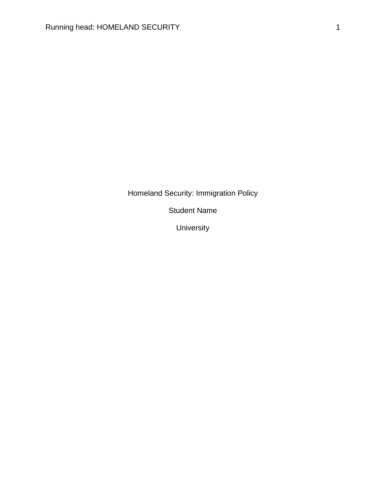Homeland Security: Immigration Policy

Student Name

University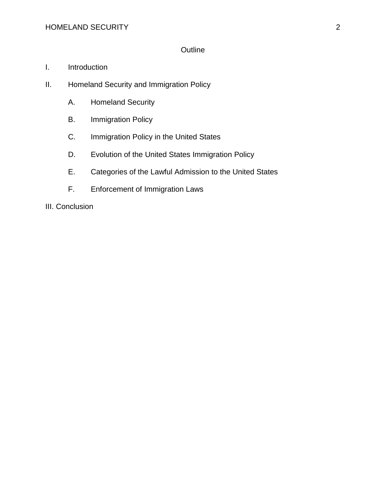# **Outline**

- I. Introduction
- II. Homeland Security and Immigration Policy
	- A. Homeland Security
	- B. Immigration Policy
	- C. Immigration Policy in the United States
	- D. Evolution of the United States Immigration Policy
	- E. Categories of the Lawful Admission to the United States
	- F. Enforcement of Immigration Laws

III. Conclusion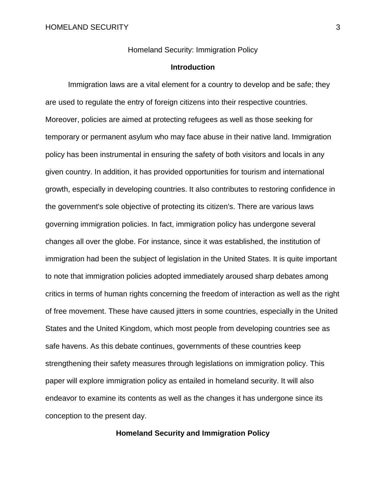Homeland Security: Immigration Policy

### **Introduction**

Immigration laws are a vital element for a country to develop and be safe; they are used to regulate the entry of foreign citizens into their respective countries. Moreover, policies are aimed at protecting refugees as well as those seeking for temporary or permanent asylum who may face abuse in their native land. Immigration policy has been instrumental in ensuring the safety of both visitors and locals in any given country. In addition, it has provided opportunities for tourism and international growth, especially in developing countries. It also contributes to restoring confidence in the government's sole objective of protecting its citizen's. There are various laws governing immigration policies. In fact, immigration policy has undergone several changes all over the globe. For instance, since it was established, the institution of immigration had been the subject of legislation in the United States. It is quite important to note that immigration policies adopted immediately aroused sharp debates among critics in terms of human rights concerning the freedom of interaction as well as the right of free movement. These have caused jitters in some countries, especially in the United States and the United Kingdom, which most people from developing countries see as safe havens. As this debate continues, governments of these countries keep strengthening their safety measures through legislations on immigration policy. This paper will explore immigration policy as entailed in homeland security. It will also endeavor to examine its contents as well as the changes it has undergone since its conception to the present day.

**Homeland Security and Immigration Policy**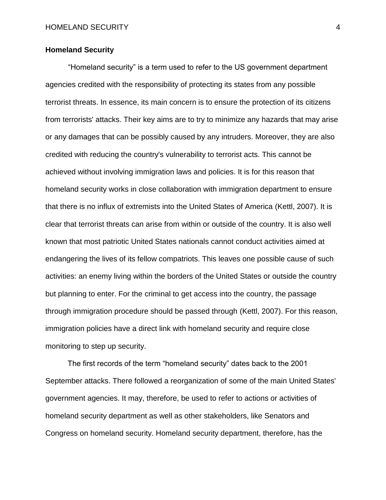# **Homeland Security**

"Homeland security" is a term used to refer to the US government department agencies credited with the responsibility of protecting its states from any possible terrorist threats. In essence, its main concern is to ensure the protection of its citizens from terrorists' attacks. Their key aims are to try to minimize any hazards that may arise or any damages that can be possibly caused by any intruders. Moreover, they are also credited with reducing the country's vulnerability to terrorist acts. This cannot be achieved without involving immigration laws and policies. It is for this reason that homeland security works in close collaboration with immigration department to ensure that there is no influx of extremists into the United States of America (Kettl, 2007). It is clear that terrorist threats can arise from within or outside of the country. It is also well known that most patriotic United States nationals cannot conduct activities aimed at endangering the lives of its fellow compatriots. This leaves one possible cause of such activities: an enemy living within the borders of the United States or outside the country but planning to enter. For the criminal to get access into the country, the passage through immigration procedure should be passed through (Kettl, 2007). For this reason, immigration policies have a direct link with homeland security and require close monitoring to step up security.

The first records of the term "homeland security" dates back to the 2001 September attacks. There followed a reorganization of some of the main United States' government agencies. It may, therefore, be used to refer to actions or activities of homeland security department as well as other stakeholders, like Senators and Congress on homeland security. Homeland security department, therefore, has the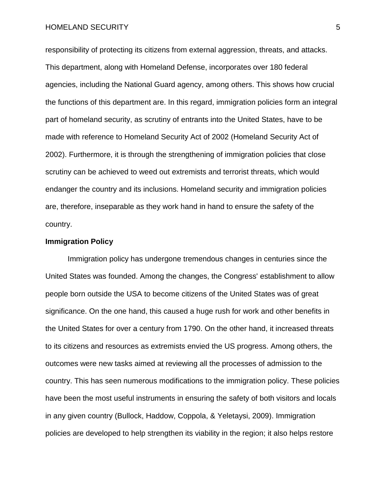#### HOMELAND SECURITY 5

responsibility of protecting its citizens from external aggression, threats, and attacks. This department, along with Homeland Defense, incorporates over 180 federal agencies, including the National Guard agency, among others. This shows how crucial the functions of this department are. In this regard, immigration policies form an integral part of homeland security, as scrutiny of entrants into the United States, have to be made with reference to Homeland Security Act of 2002 (Homeland Security Act of 2002). Furthermore, it is through the strengthening of immigration policies that close scrutiny can be achieved to weed out extremists and terrorist threats, which would endanger the country and its inclusions. Homeland security and immigration policies are, therefore, inseparable as they work hand in hand to ensure the safety of the country.

## **Immigration Policy**

Immigration policy has undergone tremendous changes in centuries since the United States was founded. Among the changes, the Congress' establishment to allow people born outside the USA to become citizens of the United States was of great significance. On the one hand, this caused a huge rush for work and other benefits in the United States for over a century from 1790. On the other hand, it increased threats to its citizens and resources as extremists envied the US progress. Among others, the outcomes were new tasks aimed at reviewing all the processes of admission to the country. This has seen numerous modifications to the immigration policy. These policies have been the most useful instruments in ensuring the safety of both visitors and locals in any given country (Bullock, Haddow, Coppola, & Yeletaysi, 2009). Immigration policies are developed to help strengthen its viability in the region; it also helps restore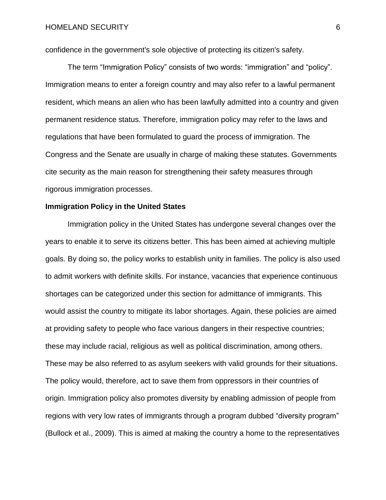confidence in the government's sole objective of protecting its citizen's safety.

The term "Immigration Policy" consists of two words: "immigration" and "policy". Immigration means to enter a foreign country and may also refer to a lawful permanent resident, which means an alien who has been lawfully admitted into a country and given permanent residence status. Therefore, immigration policy may refer to the laws and regulations that have been formulated to guard the process of immigration. The Congress and the Senate are usually in charge of making these statutes. Governments cite security as the main reason for strengthening their safety measures through rigorous immigration processes.

### **Immigration Policy in the United States**

Immigration policy in the United States has undergone several changes over the years to enable it to serve its citizens better. This has been aimed at achieving multiple goals. By doing so, the policy works to establish unity in families. The policy is also used to admit workers with definite skills. For instance, vacancies that experience continuous shortages can be categorized under this section for admittance of immigrants. This would assist the country to mitigate its labor shortages. Again, these policies are aimed at providing safety to people who face various dangers in their respective countries; these may include racial, religious as well as political discrimination, among others. These may be also referred to as asylum seekers with valid grounds for their situations. The policy would, therefore, act to save them from oppressors in their countries of origin. Immigration policy also promotes diversity by enabling admission of people from regions with very low rates of immigrants through a program dubbed "diversity program" (Bullock et al., 2009). This is aimed at making the country a home to the representatives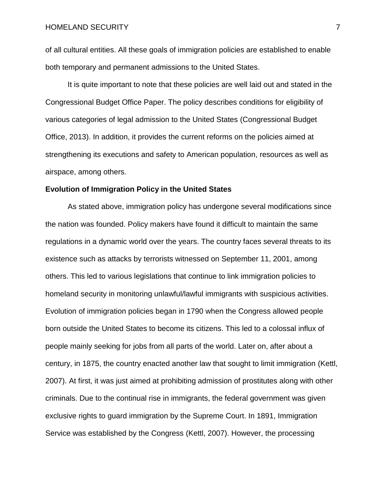of all cultural entities. All these goals of immigration policies are established to enable both temporary and permanent admissions to the United States.

It is quite important to note that these policies are well laid out and stated in the Congressional Budget Office Paper. The policy describes conditions for eligibility of various categories of legal admission to the United States (Congressional Budget Office, 2013). In addition, it provides the current reforms on the policies aimed at strengthening its executions and safety to American population, resources as well as airspace, among others.

#### **Evolution of Immigration Policy in the United States**

As stated above, immigration policy has undergone several modifications since the nation was founded. Policy makers have found it difficult to maintain the same regulations in a dynamic world over the years. The country faces several threats to its existence such as attacks by terrorists witnessed on September 11, 2001, among others. This led to various legislations that continue to link immigration policies to homeland security in monitoring unlawful/lawful immigrants with suspicious activities. Evolution of immigration policies began in 1790 when the Congress allowed people born outside the United States to become its citizens. This led to a colossal influx of people mainly seeking for jobs from all parts of the world. Later on, after about a century, in 1875, the country enacted another law that sought to limit immigration (Kettl, 2007). At first, it was just aimed at prohibiting admission of prostitutes along with other criminals. Due to the continual rise in immigrants, the federal government was given exclusive rights to guard immigration by the Supreme Court. In 1891, Immigration Service was established by the Congress (Kettl, 2007). However, the processing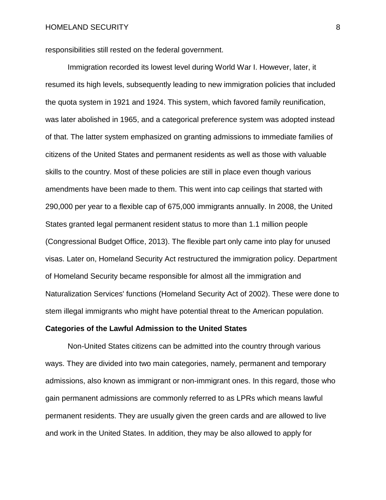responsibilities still rested on the federal government.

Immigration recorded its lowest level during World War I. However, later, it resumed its high levels, subsequently leading to new immigration policies that included the quota system in 1921 and 1924. This system, which favored family reunification, was later abolished in 1965, and a categorical preference system was adopted instead of that. The latter system emphasized on granting admissions to immediate families of citizens of the United States and permanent residents as well as those with valuable skills to the country. Most of these policies are still in place even though various amendments have been made to them. This went into cap ceilings that started with 290,000 per year to a flexible cap of 675,000 immigrants annually. In 2008, the United States granted legal permanent resident status to more than 1.1 million people (Congressional Budget Office, 2013). The flexible part only came into play for unused visas. Later on, Homeland Security Act restructured the immigration policy. Department of Homeland Security became responsible for almost all the immigration and Naturalization Services' functions (Homeland Security Act of 2002). These were done to stem illegal immigrants who might have potential threat to the American population.

#### **Categories of the Lawful Admission to the United States**

Non-United States citizens can be admitted into the country through various ways. They are divided into two main categories, namely, permanent and temporary admissions, also known as immigrant or non-immigrant ones. In this regard, those who gain permanent admissions are commonly referred to as LPRs which means lawful permanent residents. They are usually given the green cards and are allowed to live and work in the United States. In addition, they may be also allowed to apply for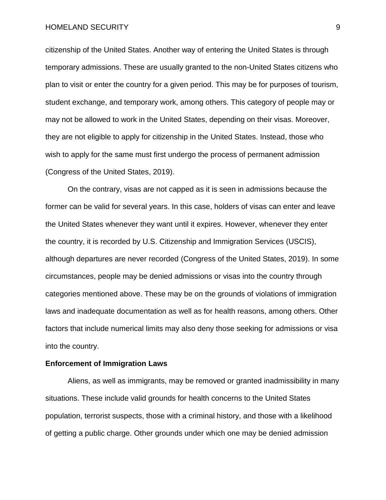#### HOMELAND SECURITY 9

citizenship of the United States. Another way of entering the United States is through temporary admissions. These are usually granted to the non-United States citizens who plan to visit or enter the country for a given period. This may be for purposes of tourism, student exchange, and temporary work, among others. This category of people may or may not be allowed to work in the United States, depending on their visas. Moreover, they are not eligible to apply for citizenship in the United States. Instead, those who wish to apply for the same must first undergo the process of permanent admission (Congress of the United States, 2019).

On the contrary, visas are not capped as it is seen in admissions because the former can be valid for several years. In this case, holders of visas can enter and leave the United States whenever they want until it expires. However, whenever they enter the country, it is recorded by U.S. Citizenship and Immigration Services (USCIS), although departures are never recorded (Congress of the United States, 2019). In some circumstances, people may be denied admissions or visas into the country through categories mentioned above. These may be on the grounds of violations of immigration laws and inadequate documentation as well as for health reasons, among others. Other factors that include numerical limits may also deny those seeking for admissions or visa into the country.

#### **Enforcement of Immigration Laws**

Aliens, as well as immigrants, may be removed or granted inadmissibility in many situations. These include valid grounds for health concerns to the United States population, terrorist suspects, those with a criminal history, and those with a likelihood of getting a public charge. Other grounds under which one may be denied admission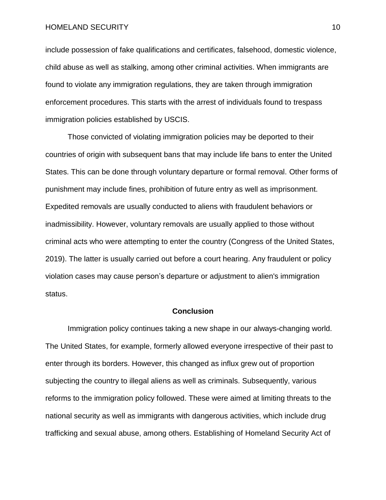HOMELAND SECURITY 10

include possession of fake qualifications and certificates, falsehood, domestic violence, child abuse as well as stalking, among other criminal activities. When immigrants are found to violate any immigration regulations, they are taken through immigration enforcement procedures. This starts with the arrest of individuals found to trespass immigration policies established by USCIS.

Those convicted of violating immigration policies may be deported to their countries of origin with subsequent bans that may include life bans to enter the United States. This can be done through voluntary departure or formal removal. Other forms of punishment may include fines, prohibition of future entry as well as imprisonment. Expedited removals are usually conducted to aliens with fraudulent behaviors or inadmissibility. However, voluntary removals are usually applied to those without criminal acts who were attempting to enter the country (Congress of the United States, 2019). The latter is usually carried out before a court hearing. Any fraudulent or policy violation cases may cause person's departure or adjustment to alien's immigration status.

# **Conclusion**

Immigration policy continues taking a new shape in our always-changing world. The United States, for example, formerly allowed everyone irrespective of their past to enter through its borders. However, this changed as influx grew out of proportion subjecting the country to illegal aliens as well as criminals. Subsequently, various reforms to the immigration policy followed. These were aimed at limiting threats to the national security as well as immigrants with dangerous activities, which include drug trafficking and sexual abuse, among others. Establishing of Homeland Security Act of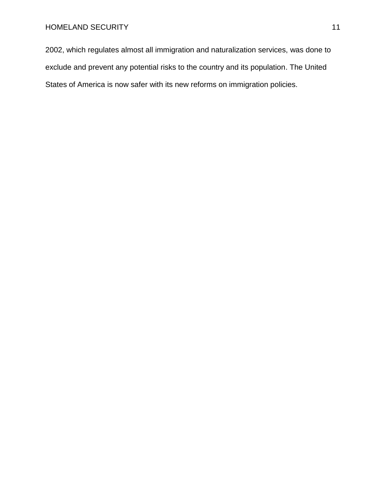2002, which regulates almost all immigration and naturalization services, was done to exclude and prevent any potential risks to the country and its population. The United States of America is now safer with its new reforms on immigration policies.